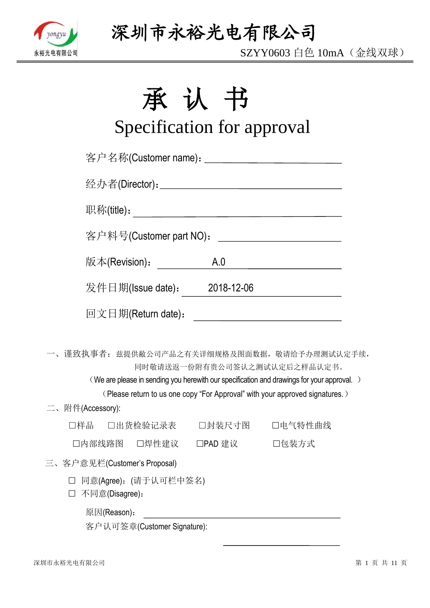

SZYY0603 白色 10mA(金线双球)

# 承认书

# Specification for approval

| 客户名称(Customer name): ____________________________ |     |                                                                                                                                                                                                           |
|---------------------------------------------------|-----|-----------------------------------------------------------------------------------------------------------------------------------------------------------------------------------------------------------|
|                                                   |     |                                                                                                                                                                                                           |
|                                                   |     |                                                                                                                                                                                                           |
| 客户料号(Customer part NO):                           |     | <u> 1990 - Johann Barbara, martin a</u>                                                                                                                                                                   |
| 版本(Revision):                                     | A.0 | <u> 1980 - Johann Barbara, martxa a</u>                                                                                                                                                                   |
| 发件日期(Issue date): 2018-12-06                      |     |                                                                                                                                                                                                           |
| 回文日期(Return date):                                |     | <u> 1980 - Johann Barnett, fransk politik (d. 1980)</u>                                                                                                                                                   |
| 一、谨致执事者: 兹提供敝公司产品之有关详细规格及图面数据, 敬请给予办理测试认定手续,      |     | 同时敬请送返一份附有贵公司签认之测试认定后之样品认定书。<br>(We are please in sending you herewith our specification and drawings for your approval.)<br>(Please return to us one copy "For Approval" with your approved signatures.) |
| 二、附件(Accessory):                                  |     |                                                                                                                                                                                                           |
| □样品  □出货检验记录表   □封装尺寸图   □电气特性曲线                  |     |                                                                                                                                                                                                           |
| □内部线路图 □焊性建议 □PAD 建议 □ □包装方式                      |     |                                                                                                                                                                                                           |
| 三、客户意见栏(Customer's Proposal)                      |     |                                                                                                                                                                                                           |
| □ 同意(Agree): (请于认可栏中签名)<br>不同意(Disagree):         |     |                                                                                                                                                                                                           |
| 原因(Reason):                                       |     |                                                                                                                                                                                                           |

客户认可签章(Customer Signature):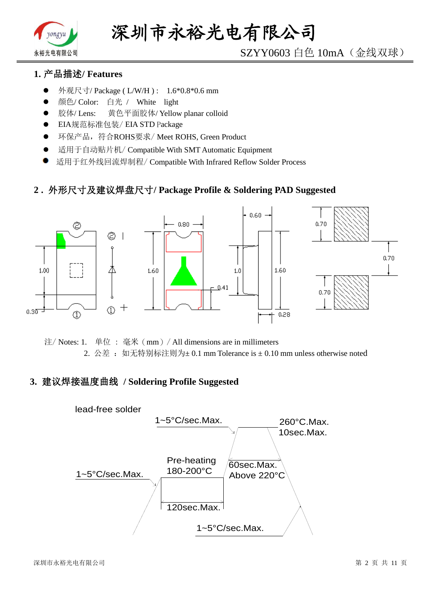

# SZYY0603 白色 10mA(金线双球)

### **1.** 产品描述**/ Features**

- 外观尺寸/ Package ( L/W/H ) : 1.6\*0.8\*0.6 mm
- 颜色/ Color: 白光 / White light
- 胶体/ Lens: 黄色平面胶体/ Yellow planar colloid
- EIA规范标准包装/ EIA STD Package
- **●** 环保产品,符合ROHS要求/Meet ROHS, Green Product
- 适用于自动贴片机/ Compatible With SMT Automatic Equipment
- 适用于红外线回流焊制程/ Compatible With Infrared Reflow Solder Process

#### **2 .** 外形尺寸及建议焊盘尺寸**/ Package Profile & Soldering PAD Suggested**



注/ Notes: 1. 单位 : 毫米(mm)/ All dimensions are in millimeters 2. 公差: 如无特别标注则为±0.1 mm Tolerance is ±0.10 mm unless otherwise noted

#### **3.** 建议焊接温度曲线 **/ Soldering Profile Suggested**

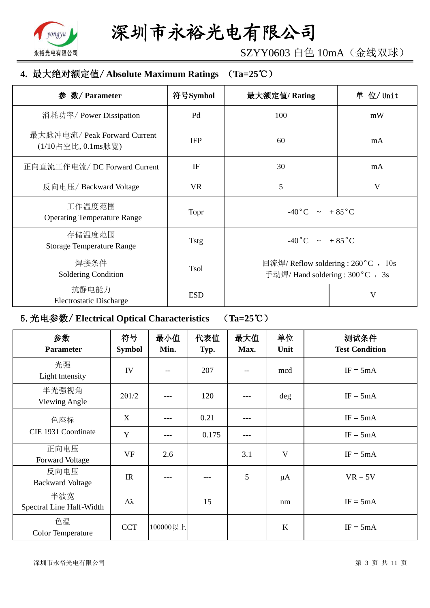

SZYY0603 白色 10mA(金线双球)

### **4.** 最大绝对额定值/ **Absolute Maximum Ratings** (**Ta=25**℃)

| 数/ Parameter<br>参                                  | 符号Symbol    | 最大额定值/Rating                                                           | 单 位/ Unit |
|----------------------------------------------------|-------------|------------------------------------------------------------------------|-----------|
| 消耗功率/ Power Dissipation                            | Pd          | 100                                                                    | mW        |
| 最大脉冲电流/ Peak Forward Current<br>(1/10占空比, 0.1ms脉宽) | <b>IFP</b>  | 60                                                                     | mA        |
| 正向直流工作电流/DC Forward Current                        | IF          | 30                                                                     | mA        |
| 反向电压/Backward Voltage                              | <b>VR</b>   | 5                                                                      | V         |
| 工作温度范围<br><b>Operating Temperature Range</b>       | Topr        | $-40\degree C$ $\sim +85\degree C$                                     |           |
| 存储温度范围<br><b>Storage Temperature Range</b>         | <b>Tstg</b> | $-40\degree C$ $\sim +85\degree C$                                     |           |
| 焊接条件<br>Soldering Condition                        | <b>Tsol</b> | 回流焊/ Reflow soldering : 260 °C , 10s<br>手动焊/ Hand soldering: 300°C, 3s |           |
| 抗静电能力<br><b>Electrostatic Discharge</b>            | <b>ESD</b>  |                                                                        | V         |

# 5.光电参数/ **Electrical Optical Characteristics** (**Ta=25**℃)

| 参数<br><b>Parameter</b>          | 符号<br><b>Symbol</b> | 最小值<br>Min. | 代表值<br>Typ. | 最大值<br>Max. | 单位<br>Unit | 测试条件<br><b>Test Condition</b> |
|---------------------------------|---------------------|-------------|-------------|-------------|------------|-------------------------------|
| 光强<br>Light Intensity           | IV                  | $-$         | 207         | $-$         | mcd        | $IF = 5mA$                    |
| 半光强视角<br>Viewing Angle          | $2\theta$ 1/2       |             | 120         | ---         | deg        | $IF = 5mA$                    |
| 色座标                             | X                   | ---         | 0.21        | ---         |            | $IF = 5mA$                    |
| CIE 1931 Coordinate             | Y                   | ---         | 0.175       | ---         |            | $IF = 5mA$                    |
| 正向电压<br><b>Forward Voltage</b>  | <b>VF</b>           | 2.6         |             | 3.1         | V          | $IF = 5mA$                    |
| 反向电压<br><b>Backward Voltage</b> | IR                  |             |             | 5           | $\mu A$    | $VR = 5V$                     |
| 半波宽<br>Spectral Line Half-Width | Δλ                  |             | 15          |             | nm         | $IF = 5mA$                    |
| 色温<br><b>Color Temperature</b>  | <b>CCT</b>          | 100000以上    |             |             | $\bf K$    | $IF = 5mA$                    |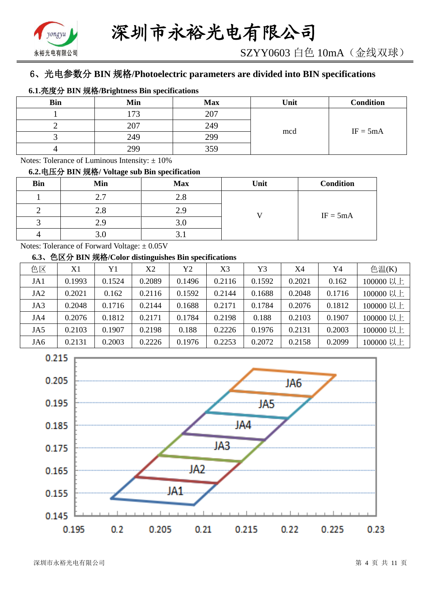# 6、光电参数分 **BIN** 规格**/Photoelectric parameters are divided into BIN specifications**

|            | $0.1.7E(1)$ DIN $M_{\text{H}}$ DIRIC DIRIGATIONS DIN SPECIFIC ATOMS |            |      |            |
|------------|---------------------------------------------------------------------|------------|------|------------|
| <b>Bin</b> | Min                                                                 | <b>Max</b> | Unit | Condition  |
|            | 73                                                                  | 207        | mcd  |            |
|            | 207                                                                 | 249        |      | $IF = 5mA$ |
|            | 249                                                                 | 299        |      |            |
|            | 299                                                                 | 359        |      |            |

**6.1.**亮度分 **BIN** 规格**/Brightness Bin specifications**

Notes: Tolerance of Luminous Intensity:  $\pm 10\%$ 

#### **6.2.**电压分 **BIN** 规格**/ Voltage sub Bin specification**

| <b>Bin</b> | Min             | <b>Max</b> | Unit | <b>Condition</b> |
|------------|-----------------|------------|------|------------------|
|            | $\gamma$ $\tau$ | 2.8        |      |                  |
|            | 2.8             | 2.9        |      | $IF = 5mA$       |
|            |                 | J.V        |      |                  |
|            |                 | J. L       |      |                  |

Notes: Tolerance of Forward Voltage: ±0.05V

#### **6.3**、色区分 **BIN** 规格**/Color distinguishes Bin specifications**

| 色区              | X1     | Y1     | X2     | Y2     | X3     | Y3     | X4     | Y4     | 色温 $(K)$  |
|-----------------|--------|--------|--------|--------|--------|--------|--------|--------|-----------|
| JA1             | 0.1993 | 0.1524 | 0.2089 | 0.1496 | 0.2116 | 0.1592 | 0.2021 | 0.162  | 100000 以上 |
| JA <sub>2</sub> | 0.2021 | 0.162  | 0.2116 | 0.1592 | 0.2144 | 0.1688 | 0.2048 | 0.1716 | 100000 以上 |
| JA3             | 0.2048 | 0.1716 | 0.2144 | 0.1688 | 0.2171 | 0.1784 | 0.2076 | 0.1812 | 100000 以上 |
| JA4             | 0.2076 | 0.1812 | 0.2171 | 0.1784 | 0.2198 | 0.188  | 0.2103 | 0.1907 | 100000 以上 |
| JA5             | 0.2103 | 0.1907 | 0.2198 | 0.188  | 0.2226 | 0.1976 | 0.2131 | 0.2003 | 100000 以上 |
| JA6             | 0.2131 | 0.2003 | 0.2226 | 0.1976 | 0.2253 | 0.2072 | 0.2158 | 0.2099 | 100000 以上 |

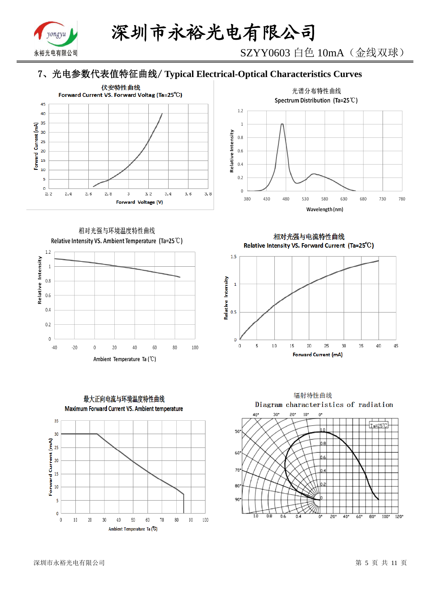

SZYY0603 白色 10mA(金线双球)

# 7、光电参数代表值特征曲线/ **Typical Electrical-Optical Characteristics Curves**





相对光强与环境温度特性曲线 Relative Intensity VS. Ambient Temperature (Ta=25°C)



最大正向电流与环境温度特性曲线 Maximum Forward Current VS. Ambient temperature 35  $30$ 



相对光强与电流特性曲线 Relative Intensity VS. Forward Current (Ta=25°C)



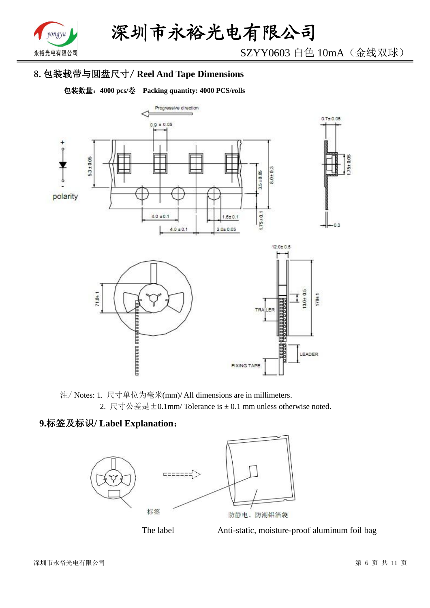

SZYY0603 白色 10mA(金线双球)

# 8.包装载带与圆盘尺寸/ **Reel And Tape Dimensions**

包装数量:**4000 pcs/**卷 **Packing quantity: 4000 PCS/rolls**



注/ Notes: 1. 尺寸单位为毫米(mm)/ All dimensions are in millimeters. 2. 尺寸公差是±0.1mm/ Tolerance is ± 0.1 mm unless otherwise noted.

# **9.**标签及标识**/ Label Explanation**:





The label Anti-static, moisture-proof aluminum foil bag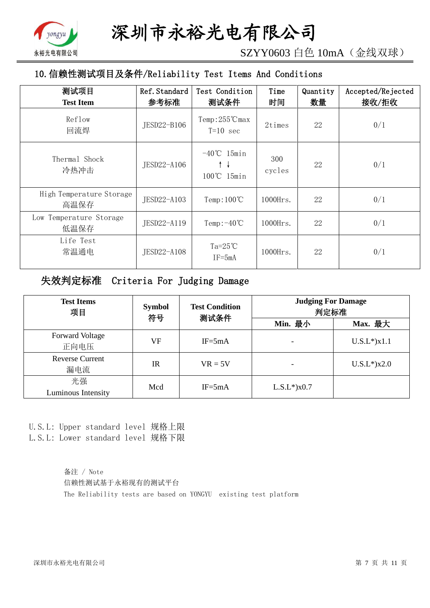

SZYY0603 白色 10mA(金线双球)

# 10.信赖性测试项目及条件/Reliability Test Items And Conditions

| 测试项目<br><b>Test Item</b>         | Ref. Standard<br>参考标准 | Test Condition<br>测试条件                | Time<br>时间    | Quantity<br>数量 | Accepted/Rejected<br>接收/拒收 |
|----------------------------------|-----------------------|---------------------------------------|---------------|----------------|----------------------------|
| Reflow<br>回流焊                    | JESD22-B106           | $Temp:255^{\circ}C$ max<br>$T=10$ sec | 2times        | 22             | 0/1                        |
| Thermal Shock<br>冷热冲击            | JESD22-A106           | $-40^{\circ}$ C 15min<br>100℃ 15min   | 300<br>cycles | 22             | 0/1                        |
| High Temperature Storage<br>高温保存 | JESD22-A103           | Temp: $100^{\circ}$ C                 | $1000$ Hrs.   | 22             | 0/1                        |
| Low Temperature Storage<br>低温保存  | JESD22-A119           | Temp: $-40^{\circ}$ C                 | $1000$ Hrs.   | 22             | 0/1                        |
| Life Test<br>常温通电                | JESD22-A108           | Ta= $25^{\circ}$ C<br>$IF = 5mA$      | $1000$ Hrs.   | 22             | 0/1                        |

## 失效判定标准 Criteria For Judging Damage

| <b>Test Items</b><br>项目        | <b>Symbol</b><br>符号 | <b>Test Condition</b><br>测试条件 | <b>Judging For Damage</b><br>判定标准 |                    |  |
|--------------------------------|---------------------|-------------------------------|-----------------------------------|--------------------|--|
|                                |                     |                               | Min. 最小                           | Max. 最大            |  |
| <b>Forward Voltage</b><br>正向电压 | VF                  | $IF = 5mA$                    |                                   | $U.S.L^*$ ) $x1.1$ |  |
| <b>Reverse Current</b><br>漏电流  | <b>IR</b>           | $VR = 5V$                     |                                   | $U.S.L*$ )x2.0     |  |
| 光强<br>Luminous Intensity       | Mcd                 | $IF = 5mA$                    | $L.S.L*$ ) $x0.7$                 |                    |  |

U.S.L: Upper standard level 规格上限 L.S.L: Lower standard level 规格下限

> 备注 / Note 信赖性测试基于永裕现有的测试平台 The Reliability tests are based on YONGYU existing test platform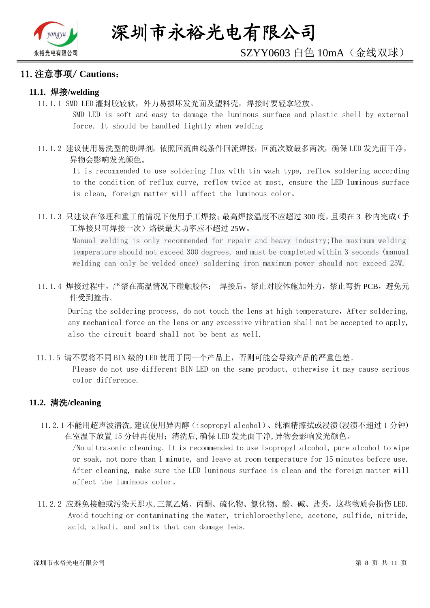

# SZYY0603 白色 10mA(金线双球)

#### 11.注意事项/ **Cautions**:

#### **11.1.** 焊接**/welding**

11.1.1 SMD LED 灌封胶较软,外力易损坏发光面及塑料壳,焊接时要轻拿轻放。

SMD LED is soft and easy to damage the luminous surface and plastic shell by external force. It should be handled lightly when welding

11.1.2 建议使用易洗型的助焊剂,依照回流曲线条件回流焊接,回流次数最多两次,确保 LED 发光面干净, 异物会影响发光颜色。

It is recommended to use soldering flux with tin wash type, reflow soldering according to the condition of reflux curve, reflow twice at most, ensure the LED luminous surface is clean, foreign matter will affect the luminous color。

11.1.3 只建议在修理和重工的情况下使用手工焊接;最高焊接温度不应超过 300 度,且须在 3 秒内完成(手 工焊接只可焊接一次)烙铁最大功率应不超过 25W。

Manual welding is only recommended for repair and heavy industry;The maximum welding temperature should not exceed 300 degrees, and must be completed within 3 seconds (manual welding can only be welded once) soldering iron maximum power should not exceed 25W.

11.1.4 焊接过程中,严禁在高温情况下碰触胶体; 焊接后,禁止对胶体施加外力,禁止弯折 PCB,避免元 件受到撞击。

During the soldering process, do not touch the lens at high temperature, After soldering, any mechanical force on the lens or any excessive vibration shall not be accepted to apply, also the circuit board shall not be bent as well.

11.1.5 请不要将不同 BIN 级的 LED 使用于同一个产品上,否则可能会导致产品的严重色差。

Please do not use different BIN LED on the same product, otherwise it may cause serious color difference.

#### **11.2.** 清洗**/cleaning**

11.2.1 不能用超声波清洗,建议使用异丙醇(isopropyl alcohol)、纯酒精擦拭或浸渍(浸渍不超过 1 分钟) 在室温下放置 15 分钟再使用;清洗后,确保 LED 发光面干净,异物会影响发光颜色。

/No ultrasonic cleaning. It is recommended to use isopropyl alcohol, pure alcohol to wipe or soak, not more than 1 minute, and leave at room temperature for 15 minutes before use. After cleaning, make sure the LED luminous surface is clean and the foreign matter will affect the luminous color。

11.2.2 应避免接触或污染天那水,三氯乙烯、丙酮、硫化物、氮化物、酸、碱、盐类,这些物质会损伤 LED. Avoid touching or contaminating the water, trichloroethylene, acetone, sulfide, nitride, acid, alkali, and salts that can damage leds.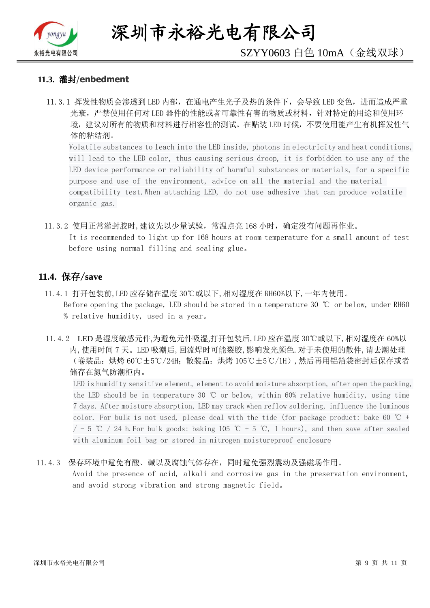

深圳市永裕光电有限公司

# SZYY0603 白色 10mA(金线双球)

#### **11.3.** 灌封/**enbedment**

11.3.1 挥发性物质会渗透到 LED 内部, 在通电产生光子及热的条件下, 会导致 LED 变色, 进而造成严重 光衰,严禁使用任何对 LED 器件的性能或者可靠性有害的物质或材料,针对特定的用途和使用环 境,建议对所有的物质和材料进行相容性的测试。在贴装 LED 时候,不要使用能产生有机挥发性气 体的粘结剂。

Volatile substances to leach into the LED inside, photons in electricity and heat conditions, will lead to the LED color, thus causing serious droop, it is forbidden to use any of the LED device performance or reliability of harmful substances or materials, for a specific purpose and use of the environment, advice on all the material and the material compatibility test.When attaching LED, do not use adhesive that can produce volatile organic gas.

11.3.2 使用正常灌封胶时,建议先以少量试验,常温点亮 168 小时,确定没有问题再作业。 It is recommended to light up for 168 hours at room temperature for a small amount of test before using normal filling and sealing glue。

#### **11.4.** 保存/**save**

- 11.4.1 打开包装前,LED 应存储在温度 30℃或以下,相对湿度在 RH60%以下,一年内使用。 Before opening the package, LED should be stored in a temperature 30 ℃ or below, under RH60 % relative humidity, used in a year。
- 11.4.2 LED 是湿度敏感元件,为避免元件吸湿,打开包装后,LED 应在温度 30℃或以下,相对湿度在 60%以 内,使用时间 7 天。LED 吸潮后,回流焊时可能裂胶,影响发光颜色.对于未使用的散件,请去潮处理 (卷装品:烘烤 60℃±5℃/24H;散装品:烘烤 105℃±5℃/1H),然后再用铝箔袋密封后保存或者 储存在氮气防潮柜内。

LED is humidity sensitive element, element to avoid moisture absorption, after open the packing, the LED should be in temperature 30 ℃ or below, within 60% relative humidity, using time 7 days. After moisture absorption, LED may crack when reflow soldering, influence the luminous color. For bulk is not used, please deal with the tide (for package product: bake 60  $\degree$ C +  $/$  - 5 ℃ / 24 h. For bulk goods: baking 105 ℃ + 5 ℃, 1 hours), and then save after sealed with aluminum foil bag or stored in nitrogen moistureproof enclosure

#### 11.4.3 保存环境中避免有酸、碱以及腐蚀气体存在,同时避免强烈震动及强磁场作用。

Avoid the presence of acid, alkali and corrosive gas in the preservation environment, and avoid strong vibration and strong magnetic field。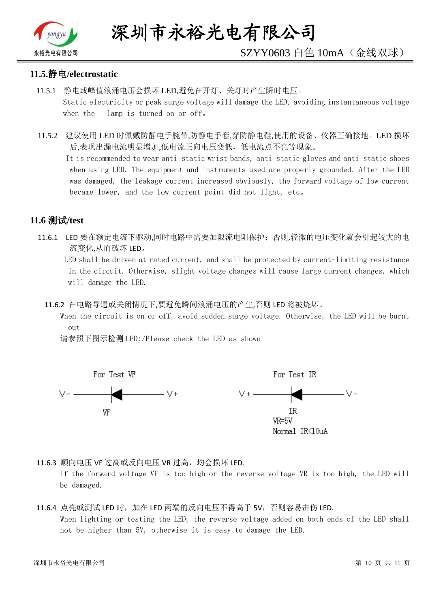

# SZYY0603 白色 10mA(金线双球)

#### **11.5.**静电**/electrostatic**

- 11.5.1 静电或峰值浪涌电压会损坏 LED,避免在开灯、关灯时产生瞬时电压。 Static electricity or peak surge voltage will damage the LED, avoiding instantaneous voltage when the lamp is turned on or off。
- 11.5.2 建议使用 LED 时佩戴防静电手腕带,防静电手套,穿防静电鞋,使用的设备、仪器正确接地。LED 损坏 后,表现出漏电流明显增加,低电流正向电压变低,低电流点不亮等现象。

 It is recommended to wear anti-static wrist bands, anti-static gloves and anti-static shoes when using LED. The equipment and instruments used are properly grounded. After the LED was damaged, the leakage current increased obviously, the forward voltage of low current became lower, and the low current point did not light, etc。

#### **11.6** 测试**/test**

11.6.1 LED 要在额定电流下驱动,同时电路中需要加限流电阻保护;否则,轻微的电压变化就会引起较大的电 流变化,从而破坏 LED。

 LED shall be driven at rated current, and shall be protected by current-limiting resistance in the circuit. Otherwise, slight voltage changes will cause large current changes, which will damage the LED.

11.6.2 在电路导通或关闭情况下,要避免瞬间浪涌电压的产生,否则 LED 将被烧坏。

 When the circuit is on or off, avoid sudden surge voltage. Otherwise, the LED will be burnt out

请参照下图示检测 LED:/Please check the LED as shown



11.6.3 顺向电压 VF 过高或反向电压 VR 过高, 均会损坏 LED.

If the forward voltage VF is too high or the reverse voltage VR is too high, the LED will be damaged.

#### 11.6.4 点亮或测试 LED 时,加在 LED 两端的反向电压不得高于 5V,否则容易击伤 LED. When lighting or testing the LED, the reverse voltage added on both ends of the LED shall not be higher than 5V, otherwise it is easy to damage the LED.